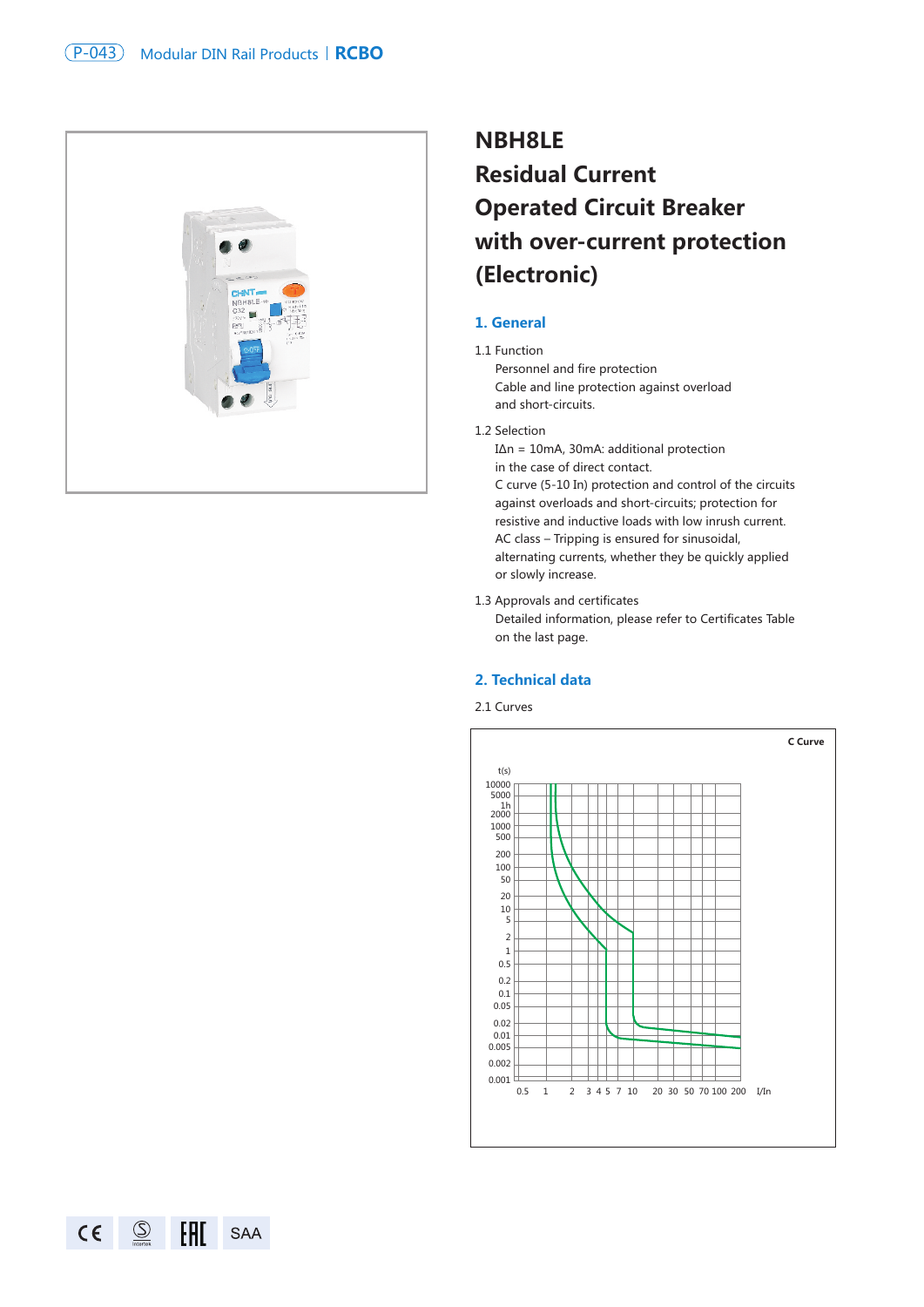

# **NBH8LE Residual Current Operated Circuit Breaker with over-current protection (Electronic)**

### **1. General**

## 1.1 Function

Personnel and fire protection Cable and line protection against overload and short-circuits.

#### 1.2 Selection

I∆n = 10mA, 30mA: additional protection in the case of direct contact. C curve (5-10 In) protection and control of the circuits against overloads and short-circuits; protection for resistive and inductive loads with low inrush current. AC class – Tripping is ensured for sinusoidal, alternating currents, whether they be quickly applied or slowly increase.

1.3 Approvals and certificates Detailed information, please refer to Certificates Table on the last page.

## **2. Technical data**

2.1 Curves